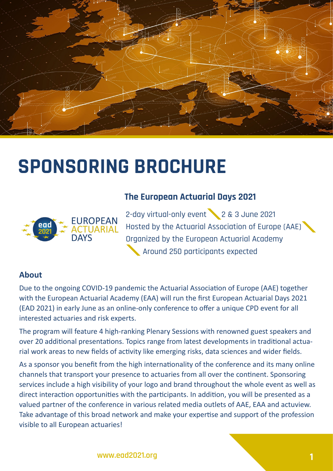

# **SPONSORING BROCHURE**



## **The European Actuarial Days 2021**

2-day virtual-only event 2 & 3 June 2021 Hosted by the Actuarial Association of Europe (AAE) Organized by the European Actuarial Academy Around 250 participants expected

### **About**

Due to the ongoing COVID-19 pandemic the Actuarial Association of Europe (AAE) together with the European Actuarial Academy (EAA) will run the first European Actuarial Days 2021 (EAD 2021) in early June as an online-only conference to offer a unique CPD event for all interested actuaries and risk experts.

The program will feature 4 high-ranking Plenary Sessions with renowned guest speakers and over 20 additional presentations. Topics range from latest developments in traditional actuarial work areas to new fields of activity like emerging risks, data sciences and wider fields.

As a sponsor you benefit from the high internationality of the conference and its many online channels that transport your presence to actuaries from all over the continent. Sponsoring services include a high visibility of your logo and brand throughout the whole event as well as direct interaction opportunities with the participants. In addition, you will be presented as a valued partner of the conference in various related media outlets of AAE, EAA and actuview. Take advantage of this broad network and make your expertise and support of the profession visible to all European actuaries!